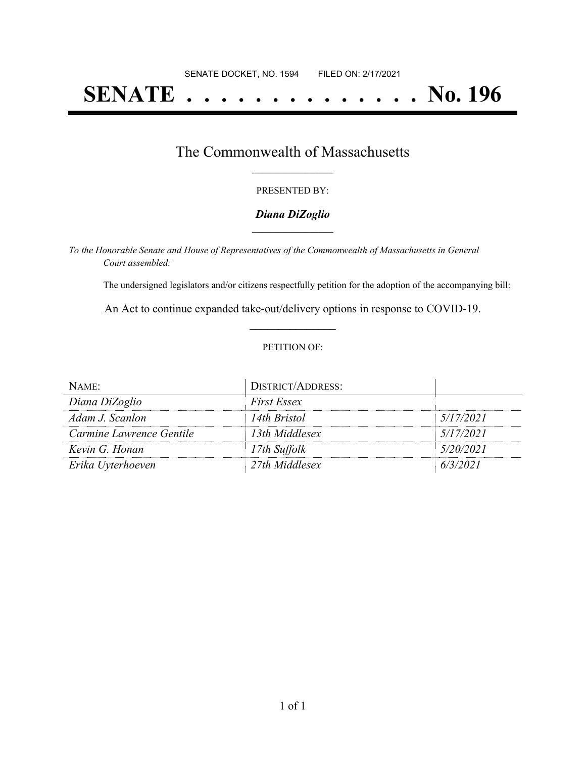# **SENATE . . . . . . . . . . . . . . No. 196**

### The Commonwealth of Massachusetts **\_\_\_\_\_\_\_\_\_\_\_\_\_\_\_\_\_**

#### PRESENTED BY:

#### *Diana DiZoglio* **\_\_\_\_\_\_\_\_\_\_\_\_\_\_\_\_\_**

*To the Honorable Senate and House of Representatives of the Commonwealth of Massachusetts in General Court assembled:*

The undersigned legislators and/or citizens respectfully petition for the adoption of the accompanying bill:

An Act to continue expanded take-out/delivery options in response to COVID-19. **\_\_\_\_\_\_\_\_\_\_\_\_\_\_\_**

#### PETITION OF:

| NAME:                    | <b>DISTRICT/ADDRESS:</b> |           |
|--------------------------|--------------------------|-----------|
| Diana DiZoglio           | <i>First Essex</i>       |           |
| Adam J. Scanlon          | 14th Bristol             | 5/17/2021 |
| Carmine Lawrence Gentile | 13th Middlesex           | 5/17/2021 |
| Kevin G. Honan           | 17th Suffolk             | 5/20/2021 |
| Erika Uyterhoeven        | 27th Middlesex           | 6/3/2021  |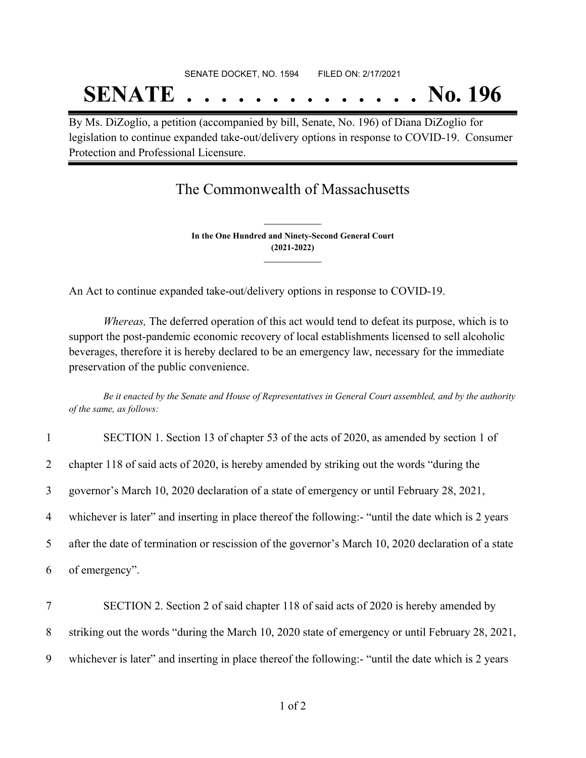# SENATE DOCKET, NO. 1594 FILED ON: 2/17/2021 **SENATE . . . . . . . . . . . . . . No. 196**

By Ms. DiZoglio, a petition (accompanied by bill, Senate, No. 196) of Diana DiZoglio for legislation to continue expanded take-out/delivery options in response to COVID-19. Consumer Protection and Professional Licensure.

## The Commonwealth of Massachusetts

**In the One Hundred and Ninety-Second General Court (2021-2022) \_\_\_\_\_\_\_\_\_\_\_\_\_\_\_**

**\_\_\_\_\_\_\_\_\_\_\_\_\_\_\_**

An Act to continue expanded take-out/delivery options in response to COVID-19.

*Whereas,* The deferred operation of this act would tend to defeat its purpose, which is to support the post-pandemic economic recovery of local establishments licensed to sell alcoholic beverages, therefore it is hereby declared to be an emergency law, necessary for the immediate preservation of the public convenience.

Be it enacted by the Senate and House of Representatives in General Court assembled, and by the authority *of the same, as follows:*

| $\mathbf{1}$   | SECTION 1. Section 13 of chapter 53 of the acts of 2020, as amended by section 1 of                 |
|----------------|-----------------------------------------------------------------------------------------------------|
| 2              | chapter 118 of said acts of 2020, is hereby amended by striking out the words "during the           |
| $\mathfrak{Z}$ | governor's March 10, 2020 declaration of a state of emergency or until February 28, 2021,           |
| $\overline{4}$ | whichever is later" and inserting in place thereof the following:- "until the date which is 2 years |
| $5^{\circ}$    | after the date of termination or rescission of the governor's March 10, 2020 declaration of a state |
| 6              | of emergency".                                                                                      |
| $\tau$         | SECTION 2. Section 2 of said chapter 118 of said acts of 2020 is hereby amended by                  |
| 8              | striking out the words "during the March 10, 2020 state of emergency or until February 28, 2021,    |

9 whichever is later" and inserting in place thereof the following:- "until the date which is 2 years